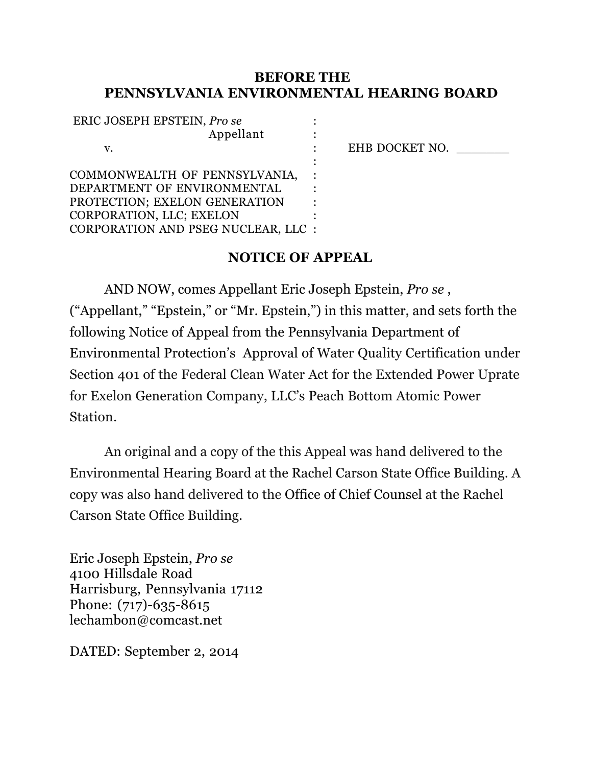#### **BEFORE THE PENNSYLVANIA ENVIRONMENTAL HEARING BOARD**

| ERIC JOSEPH EPSTEIN, Pro se         |                |
|-------------------------------------|----------------|
| Appellant                           |                |
| v.                                  | EHB DOCKET NO. |
|                                     |                |
| COMMONWEALTH OF PENNSYLVANIA,       |                |
| DEPARTMENT OF ENVIRONMENTAL         |                |
| PROTECTION; EXELON GENERATION       |                |
| CORPORATION, LLC; EXELON            |                |
| CORPORATION AND PSEG NUCLEAR, LLC : |                |
|                                     |                |

#### **NOTICE OF APPEAL**

AND NOW, comes Appellant Eric Joseph Epstein, *Pro se* , ("Appellant," "Epstein," or "Mr. Epstein,") in this matter, and sets forth the following Notice of Appeal from the Pennsylvania Department of Environmental Protection's Approval of Water Quality Certification under Section 401 of the Federal Clean Water Act for the Extended Power Uprate for Exelon Generation Company, LLC's Peach Bottom Atomic Power Station.

An original and a copy of the this Appeal was hand delivered to the Environmental Hearing Board at the Rachel Carson State Office Building. A copy was also hand delivered to the Office of Chief Counsel at the Rachel Carson State Office Building.

Eric Joseph Epstein, *Pro se* 4100 Hillsdale Road Harrisburg, Pennsylvania 17112 Phone: (717)-635-8615 lechambon@comcast.net

DATED: September 2, 2014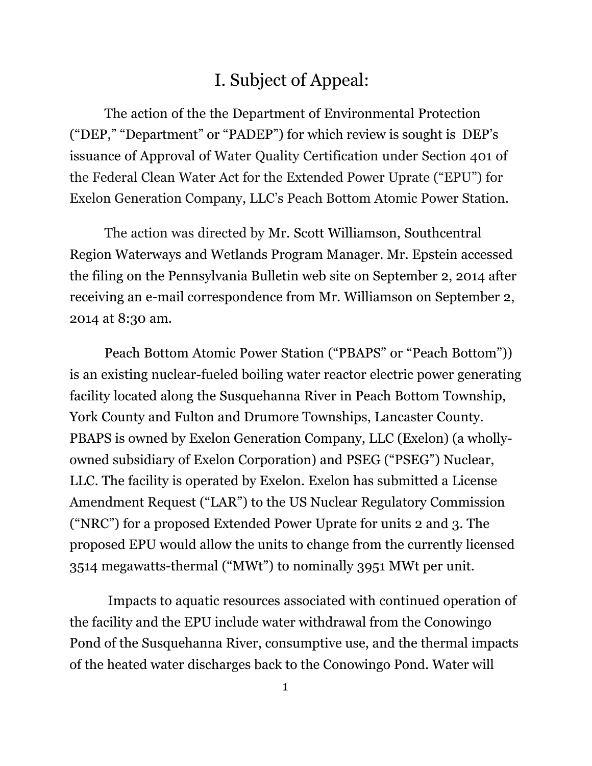### I. Subject of Appeal:

The action of the the Department of Environmental Protection ("DEP," "Department" or "PADEP") for which review is sought is DEP's issuance of Approval of Water Quality Certification under Section 401 of the Federal Clean Water Act for the Extended Power Uprate ("EPU") for Exelon Generation Company, LLC's Peach Bottom Atomic Power Station.

The action was directed by Mr. Scott Williamson, Southcentral Region Waterways and Wetlands Program Manager. Mr. Epstein accessed the filing on the Pennsylvania Bulletin web site on September 2, 2014 after receiving an e-mail correspondence from Mr. Williamson on September 2, 2014 at 8:30 am.

Peach Bottom Atomic Power Station ("PBAPS" or "Peach Bottom")) is an existing nuclear-fueled boiling water reactor electric power generating facility located along the Susquehanna River in Peach Bottom Township, York County and Fulton and Drumore Townships, Lancaster County. PBAPS is owned by Exelon Generation Company, LLC (Exelon) (a whollyowned subsidiary of Exelon Corporation) and PSEG ("PSEG") Nuclear, LLC. The facility is operated by Exelon. Exelon has submitted a License Amendment Request ("LAR") to the US Nuclear Regulatory Commission ("NRC") for a proposed Extended Power Uprate for units 2 and 3. The proposed EPU would allow the units to change from the currently licensed 3514 megawatts-thermal ("MWt") to nominally 3951 MWt per unit.

Impacts to aquatic resources associated with continued operation of the facility and the EPU include water withdrawal from the Conowingo Pond of the Susquehanna River, consumptive use, and the thermal impacts of the heated water discharges back to the Conowingo Pond. Water will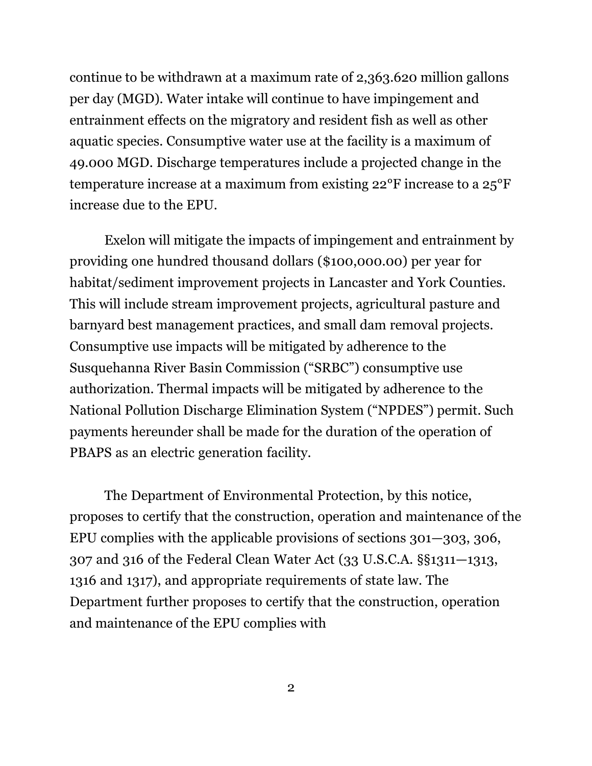continue to be withdrawn at a maximum rate of 2,363.620 million gallons per day (MGD). Water intake will continue to have impingement and entrainment effects on the migratory and resident fish as well as other aquatic species. Consumptive water use at the facility is a maximum of 49.000 MGD. Discharge temperatures include a projected change in the temperature increase at a maximum from existing 22°F increase to a 25°F increase due to the EPU.

Exelon will mitigate the impacts of impingement and entrainment by providing one hundred thousand dollars (\$100,000.00) per year for habitat/sediment improvement projects in Lancaster and York Counties. This will include stream improvement projects, agricultural pasture and barnyard best management practices, and small dam removal projects. Consumptive use impacts will be mitigated by adherence to the Susquehanna River Basin Commission ("SRBC") consumptive use authorization. Thermal impacts will be mitigated by adherence to the National Pollution Discharge Elimination System ("NPDES") permit. Such payments hereunder shall be made for the duration of the operation of PBAPS as an electric generation facility.

The Department of Environmental Protection, by this notice, proposes to certify that the construction, operation and maintenance of the EPU complies with the applicable provisions of sections 301—303, 306, 307 and 316 of the Federal Clean Water Act (33 U.S.C.A. §§1311—1313, 1316 and 1317), and appropriate requirements of state law. The Department further proposes to certify that the construction, operation and maintenance of the EPU complies with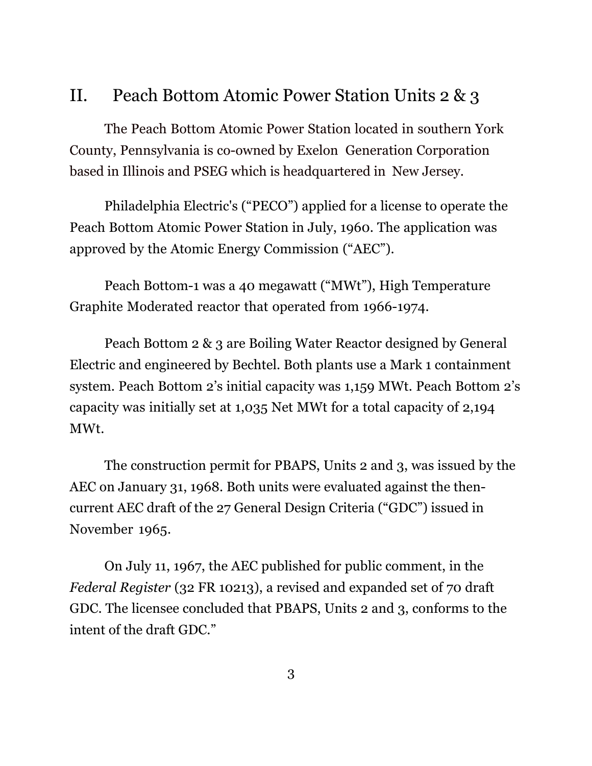### II. Peach Bottom Atomic Power Station Units 2 & 3

The Peach Bottom Atomic Power Station located in southern York County, Pennsylvania is co-owned by Exelon Generation Corporation based in Illinois and PSEG which is headquartered in New Jersey.

Philadelphia Electric's ("PECO") applied for a license to operate the Peach Bottom Atomic Power Station in July, 1960. The application was approved by the Atomic Energy Commission ("AEC").

Peach Bottom-1 was a 40 megawatt ("MWt"), High Temperature Graphite Moderated reactor that operated from 1966-1974.

Peach Bottom 2 & 3 are Boiling Water Reactor designed by General Electric and engineered by Bechtel. Both plants use a Mark 1 containment system. Peach Bottom 2's initial capacity was 1,159 MWt. Peach Bottom 2's capacity was initially set at 1,035 Net MWt for a total capacity of 2,194 MWt.

The construction permit for PBAPS, Units 2 and 3, was issued by the AEC on January 31, 1968. Both units were evaluated against the thencurrent AEC draft of the 27 General Design Criteria ("GDC") issued in November 1965.

On July 11, 1967, the AEC published for public comment, in the *Federal Register* (32 FR 10213), a revised and expanded set of 70 draft GDC. The licensee concluded that PBAPS, Units 2 and 3, conforms to the intent of the draft GDC."

3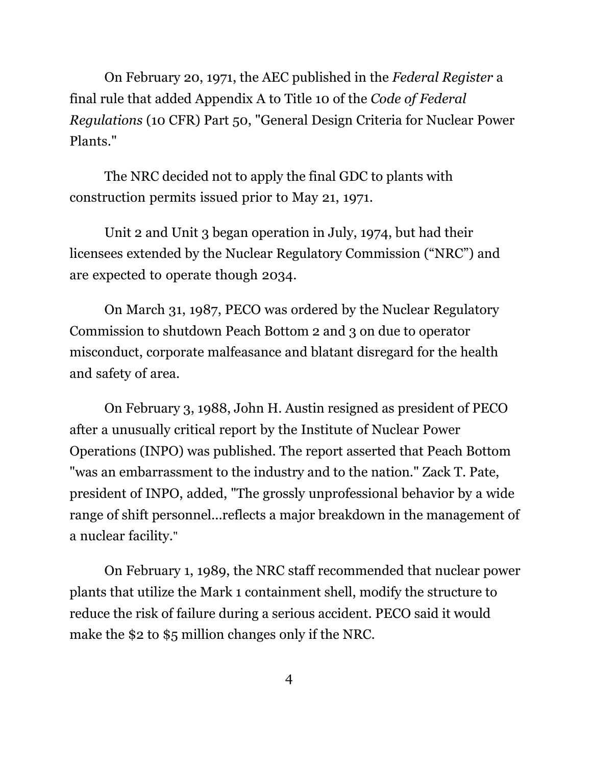On February 20, 1971, the AEC published in the *Federal Register* a final rule that added Appendix A to Title 10 of the *Code of Federal Regulations* (10 CFR) Part 50, "General Design Criteria for Nuclear Power Plants."

The NRC decided not to apply the final GDC to plants with construction permits issued prior to May 21, 1971.

Unit 2 and Unit 3 began operation in July, 1974, but had their licensees extended by the Nuclear Regulatory Commission ("NRC") and are expected to operate though 2034.

On March 31, 1987, PECO was ordered by the Nuclear Regulatory Commission to shutdown Peach Bottom 2 and 3 on due to operator misconduct, corporate malfeasance and blatant disregard for the health and safety of area.

On February 3, 1988, John H. Austin resigned as president of PECO after a unusually critical report by the Institute of Nuclear Power Operations (INPO) was published. The report asserted that Peach Bottom "was an embarrassment to the industry and to the nation." Zack T. Pate, president of INPO, added, "The grossly unprofessional behavior by a wide range of shift personnel...reflects a major breakdown in the management of a nuclear facility."

On February 1, 1989, the NRC staff recommended that nuclear power plants that utilize the Mark 1 containment shell, modify the structure to reduce the risk of failure during a serious accident. PECO said it would make the \$2 to \$5 million changes only if the NRC.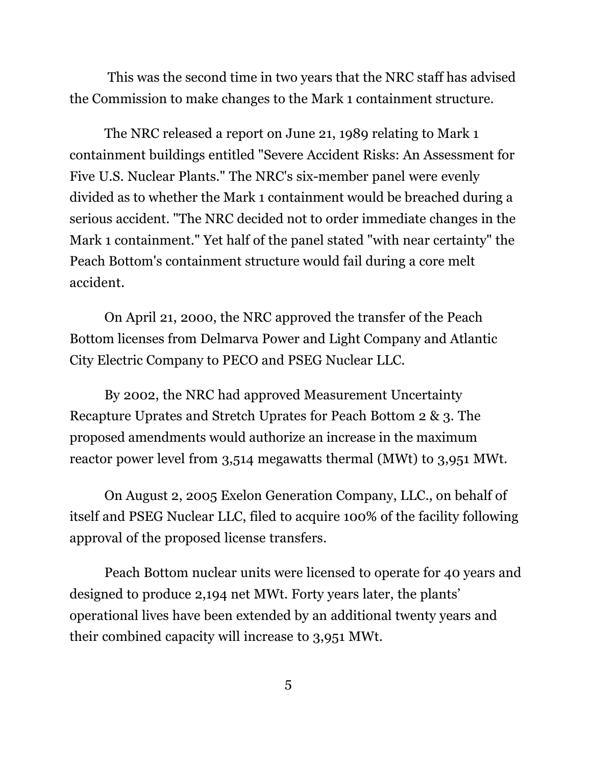This was the second time in two years that the NRC staff has advised the Commission to make changes to the Mark 1 containment structure.

The NRC released a report on June 21, 1989 relating to Mark 1 containment buildings entitled "Severe Accident Risks: An Assessment for Five U.S. Nuclear Plants." The NRC's six-member panel were evenly divided as to whether the Mark 1 containment would be breached during a serious accident. "The NRC decided not to order immediate changes in the Mark 1 containment." Yet half of the panel stated "with near certainty" the Peach Bottom's containment structure would fail during a core melt accident.

On April 21, 2000, the NRC approved the transfer of the Peach Bottom licenses from Delmarva Power and Light Company and Atlantic City Electric Company to PECO and PSEG Nuclear LLC.

By 2002, the NRC had approved Measurement Uncertainty Recapture Uprates and Stretch Uprates for Peach Bottom 2 & 3. The proposed amendments would authorize an increase in the maximum reactor power level from 3,514 megawatts thermal (MWt) to 3,951 MWt.

On August 2, 2005 Exelon Generation Company, LLC., on behalf of itself and PSEG Nuclear LLC, filed to acquire 100% of the facility following approval of the proposed license transfers.

Peach Bottom nuclear units were licensed to operate for 40 years and designed to produce 2,194 net MWt. Forty years later, the plants' operational lives have been extended by an additional twenty years and their combined capacity will increase to 3,951 MWt.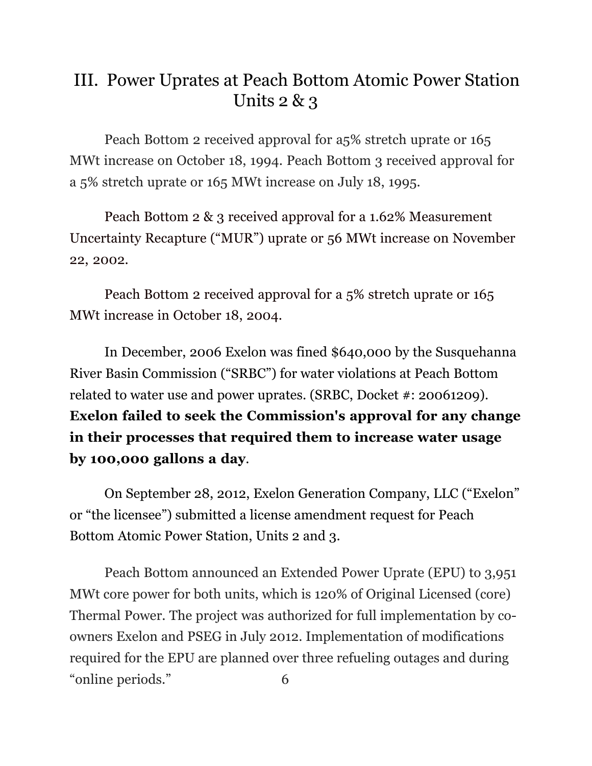## III. Power Uprates at Peach Bottom Atomic Power Station Units  $2 \& 3$

Peach Bottom 2 received approval for a5% stretch uprate or 165 MWt increase on October 18, 1994. Peach Bottom 3 received approval for a 5% stretch uprate or 165 MWt increase on July 18, 1995.

Peach Bottom 2 & 3 received approval for a 1.62% Measurement Uncertainty Recapture ("MUR") uprate or 56 MWt increase on November 22, 2002.

Peach Bottom 2 received approval for a 5% stretch uprate or 165 MWt increase in October 18, 2004.

In December, 2006 Exelon was fined \$640,000 by the Susquehanna River Basin Commission ("SRBC") for water violations at Peach Bottom related to water use and power uprates. (SRBC, Docket #: 20061209). **Exelon failed to seek the Commission's approval for any change in their processes that required them to increase water usage by 100,000 gallons a day**.

On September 28, 2012, Exelon Generation Company, LLC ("Exelon" or "the licensee") submitted a license amendment request for Peach Bottom Atomic Power Station, Units 2 and 3.

Peach Bottom announced an Extended Power Uprate (EPU) to 3,951 MWt core power for both units, which is 120% of Original Licensed (core) Thermal Power. The project was authorized for full implementation by coowners Exelon and PSEG in July 2012. Implementation of modifications required for the EPU are planned over three refueling outages and during "online periods." 6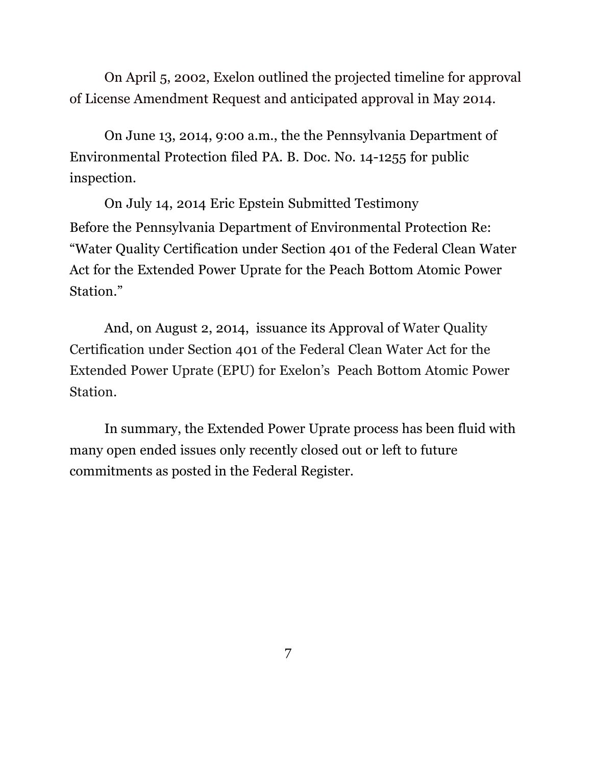On April 5, 2002, Exelon outlined the projected timeline for approval of License Amendment Request and anticipated approval in May 2014.

On June 13, 2014, 9:00 a.m., the the Pennsylvania Department of Environmental Protection filed PA. B. Doc. No. 14-1255 for public inspection.

On July 14, 2014 Eric Epstein Submitted Testimony Before the Pennsylvania Department of Environmental Protection Re: "Water Quality Certification under Section 401 of the Federal Clean Water Act for the Extended Power Uprate for the Peach Bottom Atomic Power Station."

 And, on August 2, 2014, issuance its Approval of Water Quality Certification under Section 401 of the Federal Clean Water Act for the Extended Power Uprate (EPU) for Exelon's Peach Bottom Atomic Power Station.

In summary, the Extended Power Uprate process has been fluid with many open ended issues only recently closed out or left to future commitments as posted in the Federal Register.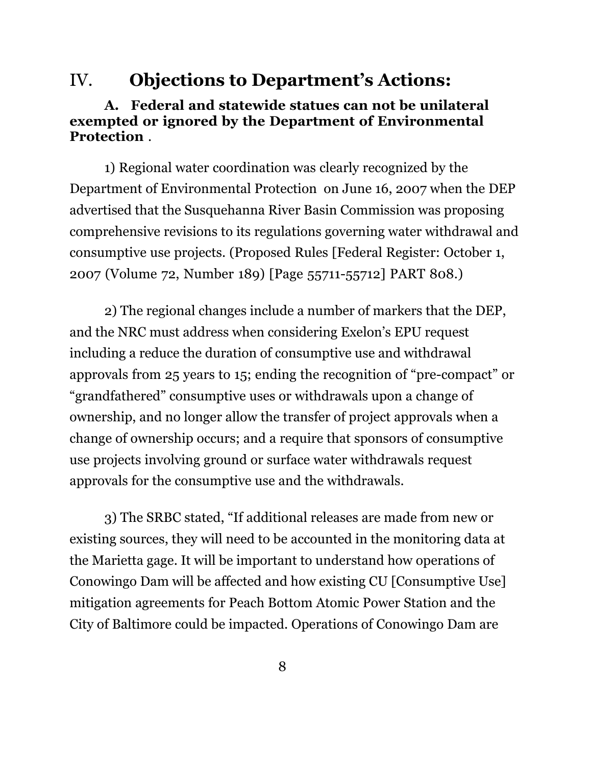#### IV. **Objections to Department's Actions:**

#### **A. Federal and statewide statues can not be unilateral exempted or ignored by the Department of Environmental Protection** .

1) Regional water coordination was clearly recognized by the Department of Environmental Protection on June 16, 2007 when the DEP advertised that the Susquehanna River Basin Commission was proposing comprehensive revisions to its regulations governing water withdrawal and consumptive use projects. (Proposed Rules [Federal Register: October 1, 2007 (Volume 72, Number 189) [Page 55711-55712] PART 808.)

2) The regional changes include a number of markers that the DEP, and the NRC must address when considering Exelon's EPU request including a reduce the duration of consumptive use and withdrawal approvals from 25 years to 15; ending the recognition of "pre-compact" or "grandfathered" consumptive uses or withdrawals upon a change of ownership, and no longer allow the transfer of project approvals when a change of ownership occurs; and a require that sponsors of consumptive use projects involving ground or surface water withdrawals request approvals for the consumptive use and the withdrawals.

3) The SRBC stated, "If additional releases are made from new or existing sources, they will need to be accounted in the monitoring data at the Marietta gage. It will be important to understand how operations of Conowingo Dam will be affected and how existing CU [Consumptive Use] mitigation agreements for Peach Bottom Atomic Power Station and the City of Baltimore could be impacted. Operations of Conowingo Dam are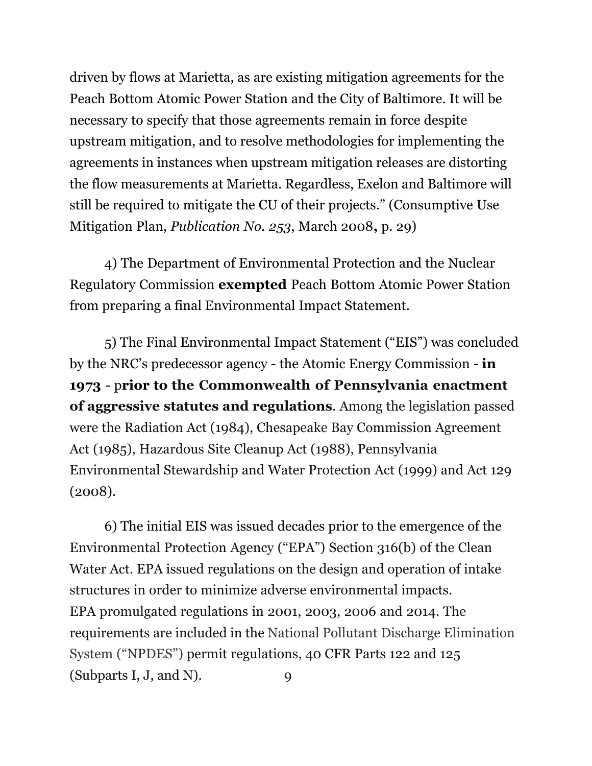driven by flows at Marietta, as are existing mitigation agreements for the Peach Bottom Atomic Power Station and the City of Baltimore. It will be necessary to specify that those agreements remain in force despite upstream mitigation, and to resolve methodologies for implementing the agreements in instances when upstream mitigation releases are distorting the flow measurements at Marietta. Regardless, Exelon and Baltimore will still be required to mitigate the CU of their projects." (Consumptive Use Mitigation Plan, *Publication No. 253*, March 2008**,** p. 29)

4) The Department of Environmental Protection and the Nuclear Regulatory Commission **exempted** Peach Bottom Atomic Power Station from preparing a final Environmental Impact Statement.

5) The Final Environmental Impact Statement ("EIS") was concluded by the NRC's predecessor agency - the Atomic Energy Commission - **in 1973** - p**rior to the Commonwealth of Pennsylvania enactment of aggressive statutes and regulations**. Among the legislation passed were the Radiation Act (1984), Chesapeake Bay Commission Agreement Act (1985), Hazardous Site Cleanup Act (1988), Pennsylvania Environmental Stewardship and Water Protection Act (1999) and Act 129 (2008).

6) The initial EIS was issued decades prior to the emergence of the Environmental Protection Agency ("EPA") Section 316(b) of the Clean Water Act. EPA issued regulations on the design and operation of intake structures in order to minimize adverse environmental impacts. EPA promulgated regulations in 2001, 2003, 2006 and 2014. The requirements are included in the National Pollutant Discharge Elimination System ("NPDES") permit regulations, 40 CFR Parts 122 and 125 (Subparts I, J, and N). 9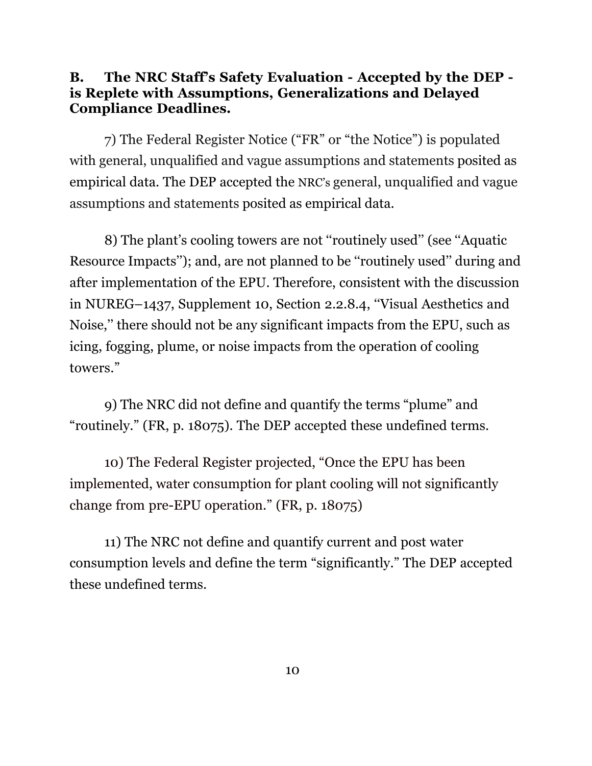#### **B. The NRC Staff's Safety Evaluation - Accepted by the DEP is Replete with Assumptions, Generalizations and Delayed Compliance Deadlines.**

7) The Federal Register Notice ("FR" or "the Notice") is populated with general, unqualified and vague assumptions and statements posited as empirical data. The DEP accepted the NRC's general, unqualified and vague assumptions and statements posited as empirical data.

8) The plant's cooling towers are not ''routinely used'' (see ''Aquatic Resource Impacts''); and, are not planned to be ''routinely used'' during and after implementation of the EPU. Therefore, consistent with the discussion in NUREG–1437, Supplement 10, Section 2.2.8.4, ''Visual Aesthetics and Noise,'' there should not be any significant impacts from the EPU, such as icing, fogging, plume, or noise impacts from the operation of cooling towers."

9) The NRC did not define and quantify the terms "plume" and "routinely." (FR, p. 18075). The DEP accepted these undefined terms.

10) The Federal Register projected, "Once the EPU has been implemented, water consumption for plant cooling will not significantly change from pre-EPU operation." (FR, p. 18075)

11) The NRC not define and quantify current and post water consumption levels and define the term "significantly." The DEP accepted these undefined terms.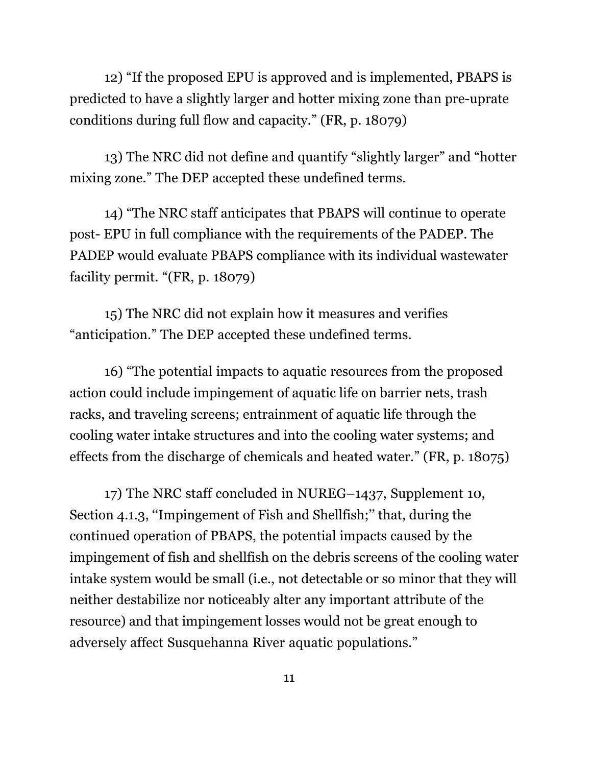12) "If the proposed EPU is approved and is implemented, PBAPS is predicted to have a slightly larger and hotter mixing zone than pre-uprate conditions during full flow and capacity." (FR, p. 18079)

13) The NRC did not define and quantify "slightly larger" and "hotter mixing zone." The DEP accepted these undefined terms.

14) "The NRC staff anticipates that PBAPS will continue to operate post- EPU in full compliance with the requirements of the PADEP. The PADEP would evaluate PBAPS compliance with its individual wastewater facility permit. "(FR, p. 18079)

15) The NRC did not explain how it measures and verifies "anticipation." The DEP accepted these undefined terms.

16) "The potential impacts to aquatic resources from the proposed action could include impingement of aquatic life on barrier nets, trash racks, and traveling screens; entrainment of aquatic life through the cooling water intake structures and into the cooling water systems; and effects from the discharge of chemicals and heated water." (FR, p. 18075)

17) The NRC staff concluded in NUREG–1437, Supplement 10, Section 4.1.3, ''Impingement of Fish and Shellfish;'' that, during the continued operation of PBAPS, the potential impacts caused by the impingement of fish and shellfish on the debris screens of the cooling water intake system would be small (i.e., not detectable or so minor that they will neither destabilize nor noticeably alter any important attribute of the resource) and that impingement losses would not be great enough to adversely affect Susquehanna River aquatic populations."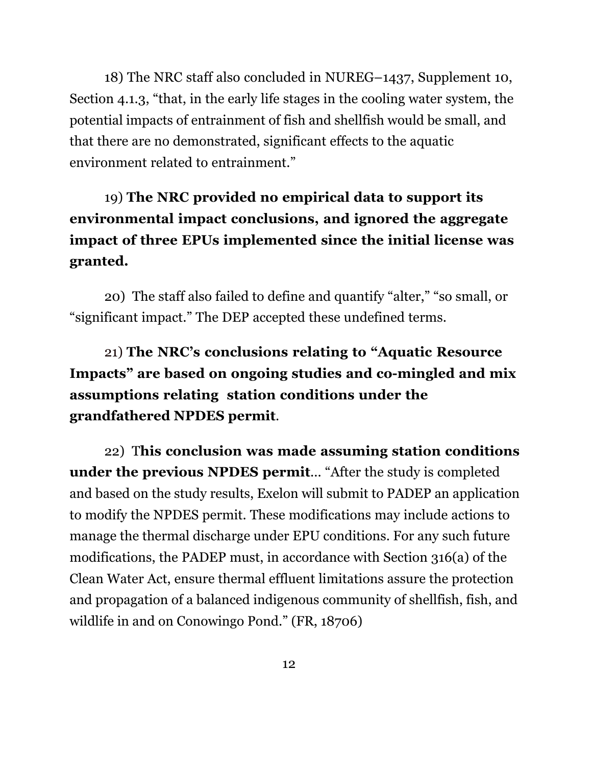18) The NRC staff also concluded in NUREG–1437, Supplement 10, Section 4.1.3, "that, in the early life stages in the cooling water system, the potential impacts of entrainment of fish and shellfish would be small, and that there are no demonstrated, significant effects to the aquatic environment related to entrainment."

### 19) **The NRC provided no empirical data to support its environmental impact conclusions, and ignored the aggregate impact of three EPUs implemented since the initial license was granted.**

20) The staff also failed to define and quantify "alter," "so small, or "significant impact." The DEP accepted these undefined terms.

21) **The NRC's conclusions relating to "Aquatic Resource Impacts" are based on ongoing studies and co-mingled and mix assumptions relating station conditions under the grandfathered NPDES permit**.

22) T**his conclusion was made assuming station conditions under the previous NPDES permit**... "After the study is completed and based on the study results, Exelon will submit to PADEP an application to modify the NPDES permit. These modifications may include actions to manage the thermal discharge under EPU conditions. For any such future modifications, the PADEP must, in accordance with Section 316(a) of the Clean Water Act, ensure thermal effluent limitations assure the protection and propagation of a balanced indigenous community of shellfish, fish, and wildlife in and on Conowingo Pond." (FR, 18706)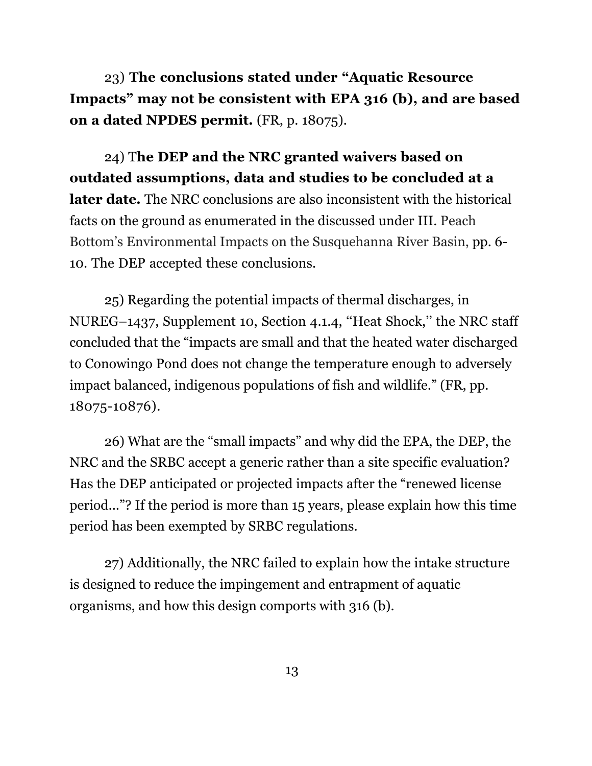23) **The conclusions stated under "Aquatic Resource Impacts" may not be consistent with EPA 316 (b), and are based on a dated NPDES permit.** (FR, p. 18075).

24) T**he DEP and the NRC granted waivers based on outdated assumptions, data and studies to be concluded at a later date.** The NRC conclusions are also inconsistent with the historical facts on the ground as enumerated in the discussed under III. Peach Bottom's Environmental Impacts on the Susquehanna River Basin, pp. 6- 10. The DEP accepted these conclusions.

25) Regarding the potential impacts of thermal discharges, in NUREG–1437, Supplement 10, Section 4.1.4, ''Heat Shock,'' the NRC staff concluded that the "impacts are small and that the heated water discharged to Conowingo Pond does not change the temperature enough to adversely impact balanced, indigenous populations of fish and wildlife." (FR, pp. 18075-10876).

26) What are the "small impacts" and why did the EPA, the DEP, the NRC and the SRBC accept a generic rather than a site specific evaluation? Has the DEP anticipated or projected impacts after the "renewed license period..."? If the period is more than 15 years, please explain how this time period has been exempted by SRBC regulations.

27) Additionally, the NRC failed to explain how the intake structure is designed to reduce the impingement and entrapment of aquatic organisms, and how this design comports with 316 (b).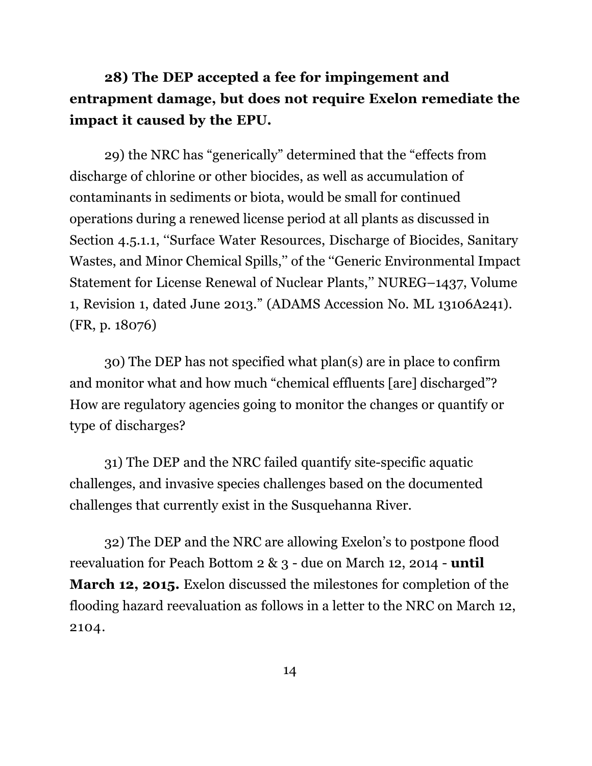### **28) The DEP accepted a fee for impingement and entrapment damage, but does not require Exelon remediate the impact it caused by the EPU.**

29) the NRC has "generically" determined that the "effects from discharge of chlorine or other biocides, as well as accumulation of contaminants in sediments or biota, would be small for continued operations during a renewed license period at all plants as discussed in Section 4.5.1.1, ''Surface Water Resources, Discharge of Biocides, Sanitary Wastes, and Minor Chemical Spills,'' of the ''Generic Environmental Impact Statement for License Renewal of Nuclear Plants,'' NUREG–1437, Volume 1, Revision 1, dated June 2013." (ADAMS Accession No. ML 13106A241). (FR, p. 18076)

30) The DEP has not specified what plan(s) are in place to confirm and monitor what and how much "chemical effluents [are] discharged"? How are regulatory agencies going to monitor the changes or quantify or type of discharges?

31) The DEP and the NRC failed quantify site-specific aquatic challenges, and invasive species challenges based on the documented challenges that currently exist in the Susquehanna River.

32) The DEP and the NRC are allowing Exelon's to postpone flood reevaluation for Peach Bottom 2 & 3 - due on March 12, 2014 - **until March 12, 2015.** Exelon discussed the milestones for completion of the flooding hazard reevaluation as follows in a letter to the NRC on March 12, 2104.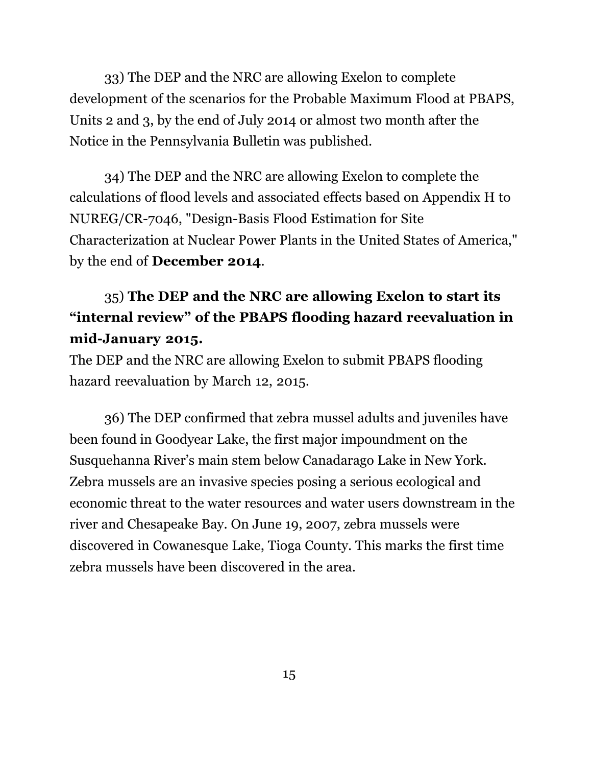33) The DEP and the NRC are allowing Exelon to complete development of the scenarios for the Probable Maximum Flood at PBAPS, Units 2 and 3, by the end of July 2014 or almost two month after the Notice in the Pennsylvania Bulletin was published.

34) The DEP and the NRC are allowing Exelon to complete the calculations of flood levels and associated effects based on Appendix H to NUREG/CR-7046, "Design-Basis Flood Estimation for Site Characterization at Nuclear Power Plants in the United States of America," by the end of **December 2014**.

#### 35) **The DEP and the NRC are allowing Exelon to start its "internal review" of the PBAPS flooding hazard reevaluation in mid-January 2015.**

The DEP and the NRC are allowing Exelon to submit PBAPS flooding hazard reevaluation by March 12, 2015.

36) The DEP confirmed that zebra mussel adults and juveniles have been found in Goodyear Lake, the first major impoundment on the Susquehanna River's main stem below Canadarago Lake in New York. Zebra mussels are an invasive species posing a serious ecological and economic threat to the water resources and water users downstream in the river and Chesapeake Bay. On June 19, 2007, zebra mussels were discovered in Cowanesque Lake, Tioga County. This marks the first time zebra mussels have been discovered in the area.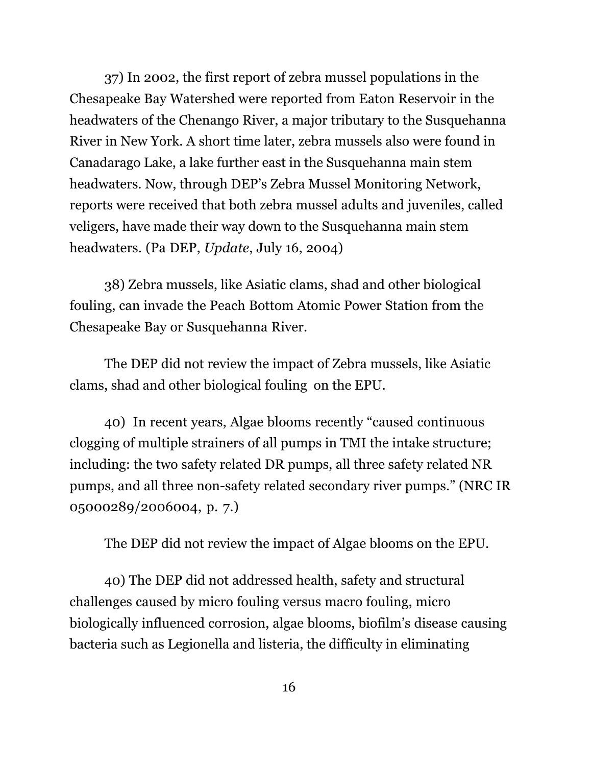37) In 2002, the first report of zebra mussel populations in the Chesapeake Bay Watershed were reported from Eaton Reservoir in the headwaters of the Chenango River, a major tributary to the Susquehanna River in New York. A short time later, zebra mussels also were found in Canadarago Lake, a lake further east in the Susquehanna main stem headwaters. Now, through DEP's Zebra Mussel Monitoring Network, reports were received that both zebra mussel adults and juveniles, called veligers, have made their way down to the Susquehanna main stem headwaters. (Pa DEP, *Update*, July 16, 2004)

38) Zebra mussels, like Asiatic clams, shad and other biological fouling, can invade the Peach Bottom Atomic Power Station from the Chesapeake Bay or Susquehanna River.

The DEP did not review the impact of Zebra mussels, like Asiatic clams, shad and other biological fouling on the EPU.

40) In recent years, Algae blooms recently "caused continuous clogging of multiple strainers of all pumps in TMI the intake structure; including: the two safety related DR pumps, all three safety related NR pumps, and all three non-safety related secondary river pumps." (NRC IR 05000289/2006004, p. 7.)

The DEP did not review the impact of Algae blooms on the EPU.

40) The DEP did not addressed health, safety and structural challenges caused by micro fouling versus macro fouling, micro biologically influenced corrosion, algae blooms, biofilm's disease causing bacteria such as Legionella and listeria, the difficulty in eliminating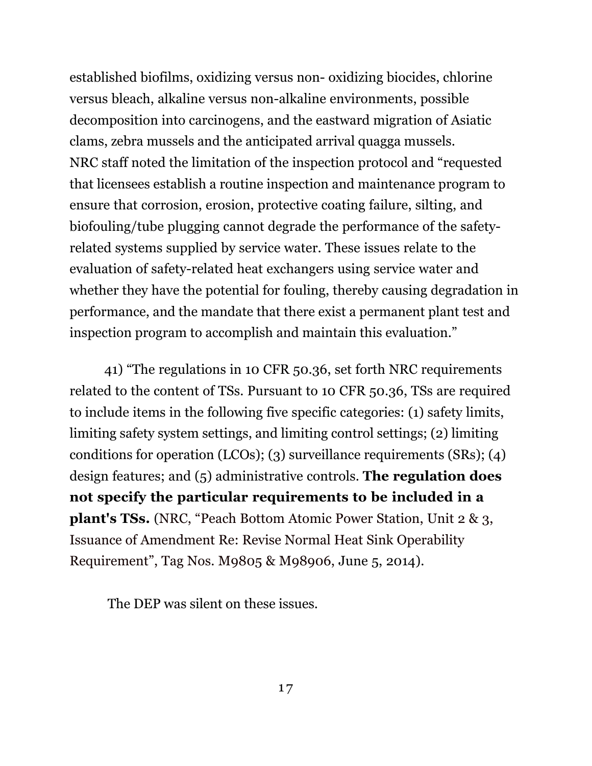established biofilms, oxidizing versus non- oxidizing biocides, chlorine versus bleach, alkaline versus non-alkaline environments, possible decomposition into carcinogens, and the eastward migration of Asiatic clams, zebra mussels and the anticipated arrival quagga mussels. NRC staff noted the limitation of the inspection protocol and "requested that licensees establish a routine inspection and maintenance program to ensure that corrosion, erosion, protective coating failure, silting, and biofouling/tube plugging cannot degrade the performance of the safetyrelated systems supplied by service water. These issues relate to the evaluation of safety-related heat exchangers using service water and whether they have the potential for fouling, thereby causing degradation in performance, and the mandate that there exist a permanent plant test and inspection program to accomplish and maintain this evaluation."

41) "The regulations in 10 CFR 50.36, set forth NRC requirements related to the content of TSs. Pursuant to 10 CFR 50.36, TSs are required to include items in the following five specific categories: (1) safety limits, limiting safety system settings, and limiting control settings; (2) limiting conditions for operation (LCOs); (3) surveillance requirements (SRs); (4) design features; and (5) administrative controls. **The regulation does not specify the particular requirements to be included in a plant's TSs.** (NRC, "Peach Bottom Atomic Power Station, Unit 2 & 3, Issuance of Amendment Re: Revise Normal Heat Sink Operability Requirement", Tag Nos. M9805 & M98906, June 5, 2014).

The DEP was silent on these issues.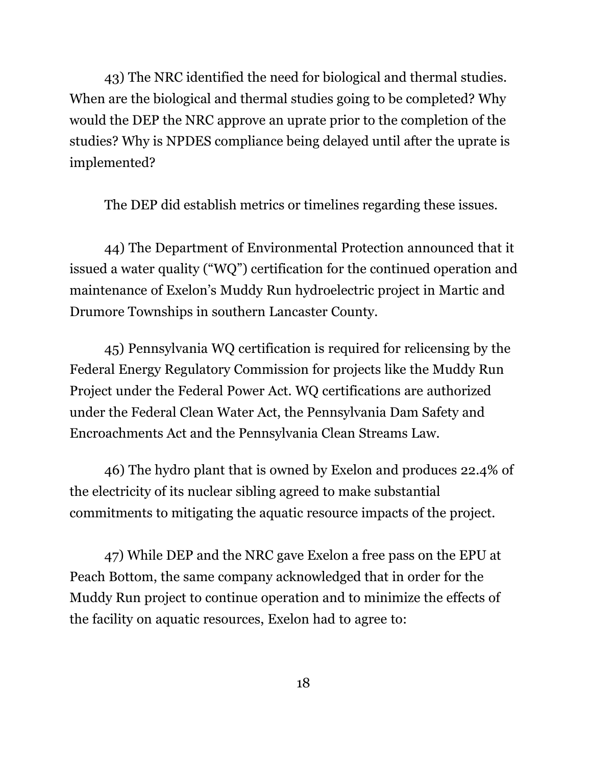43) The NRC identified the need for biological and thermal studies. When are the biological and thermal studies going to be completed? Why would the DEP the NRC approve an uprate prior to the completion of the studies? Why is NPDES compliance being delayed until after the uprate is implemented?

The DEP did establish metrics or timelines regarding these issues.

44) The Department of Environmental Protection announced that it issued a water quality ("WQ") certification for the continued operation and maintenance of Exelon's Muddy Run hydroelectric project in Martic and Drumore Townships in southern Lancaster County.

45) Pennsylvania WQ certification is required for relicensing by the Federal Energy Regulatory Commission for projects like the Muddy Run Project under the Federal Power Act. WQ certifications are authorized under the Federal Clean Water Act, the Pennsylvania Dam Safety and Encroachments Act and the Pennsylvania Clean Streams Law.

46) The hydro plant that is owned by Exelon and produces 22.4% of the electricity of its nuclear sibling agreed to make substantial commitments to mitigating the aquatic resource impacts of the project.

47) While DEP and the NRC gave Exelon a free pass on the EPU at Peach Bottom, the same company acknowledged that in order for the Muddy Run project to continue operation and to minimize the effects of the facility on aquatic resources, Exelon had to agree to: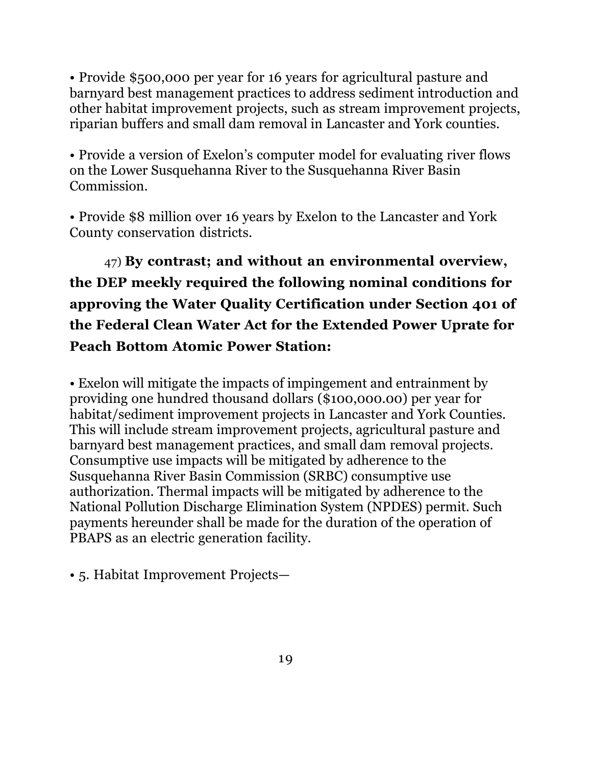• Provide \$500,000 per year for 16 years for agricultural pasture and barnyard best management practices to address sediment introduction and other habitat improvement projects, such as stream improvement projects, riparian buffers and small dam removal in Lancaster and York counties.

• Provide a version of Exelon's computer model for evaluating river flows on the Lower Susquehanna River to the Susquehanna River Basin Commission.

• Provide \$8 million over 16 years by Exelon to the Lancaster and York County conservation districts.

47) **By contrast; and without an environmental overview, the DEP meekly required the following nominal conditions for approving the Water Quality Certification under Section 401 of the Federal Clean Water Act for the Extended Power Uprate for Peach Bottom Atomic Power Station:**

• Exelon will mitigate the impacts of impingement and entrainment by providing one hundred thousand dollars (\$100,000.00) per year for habitat/sediment improvement projects in Lancaster and York Counties. This will include stream improvement projects, agricultural pasture and barnyard best management practices, and small dam removal projects. Consumptive use impacts will be mitigated by adherence to the Susquehanna River Basin Commission (SRBC) consumptive use authorization. Thermal impacts will be mitigated by adherence to the National Pollution Discharge Elimination System (NPDES) permit. Such payments hereunder shall be made for the duration of the operation of PBAPS as an electric generation facility.

• 5. Habitat Improvement Projects—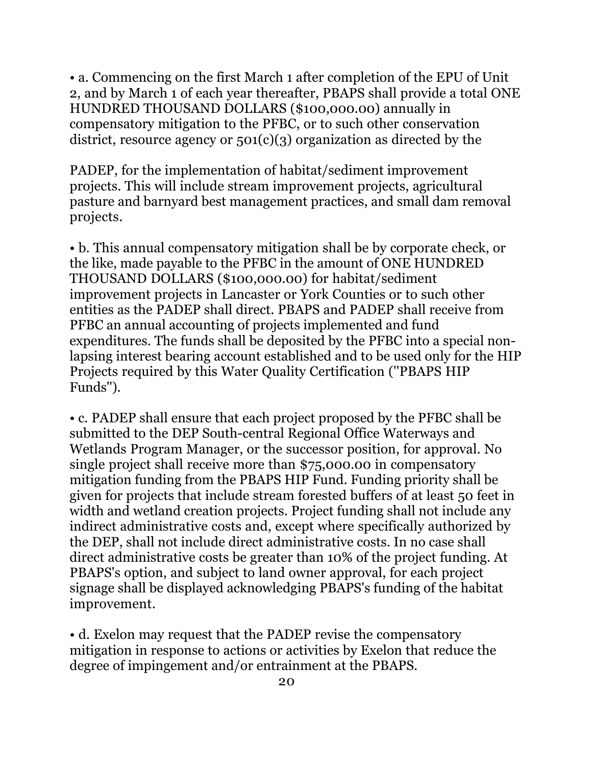• a. Commencing on the first March 1 after completion of the EPU of Unit 2, and by March 1 of each year thereafter, PBAPS shall provide a total ONE HUNDRED THOUSAND DOLLARS (\$100,000.00) annually in compensatory mitigation to the PFBC, or to such other conservation district, resource agency or  $501(c)(3)$  organization as directed by the

PADEP, for the implementation of habitat/sediment improvement projects. This will include stream improvement projects, agricultural pasture and barnyard best management practices, and small dam removal projects.

• b. This annual compensatory mitigation shall be by corporate check, or the like, made payable to the PFBC in the amount of ONE HUNDRED THOUSAND DOLLARS (\$100,000.00) for habitat/sediment improvement projects in Lancaster or York Counties or to such other entities as the PADEP shall direct. PBAPS and PADEP shall receive from PFBC an annual accounting of projects implemented and fund expenditures. The funds shall be deposited by the PFBC into a special nonlapsing interest bearing account established and to be used only for the HIP Projects required by this Water Quality Certification (''PBAPS HIP Funds'').

• c. PADEP shall ensure that each project proposed by the PFBC shall be submitted to the DEP South-central Regional Office Waterways and Wetlands Program Manager, or the successor position, for approval. No single project shall receive more than \$75,000.00 in compensatory mitigation funding from the PBAPS HIP Fund. Funding priority shall be given for projects that include stream forested buffers of at least 50 feet in width and wetland creation projects. Project funding shall not include any indirect administrative costs and, except where specifically authorized by the DEP, shall not include direct administrative costs. In no case shall direct administrative costs be greater than 10% of the project funding. At PBAPS's option, and subject to land owner approval, for each project signage shall be displayed acknowledging PBAPS's funding of the habitat improvement.

• d. Exelon may request that the PADEP revise the compensatory mitigation in response to actions or activities by Exelon that reduce the degree of impingement and/or entrainment at the PBAPS.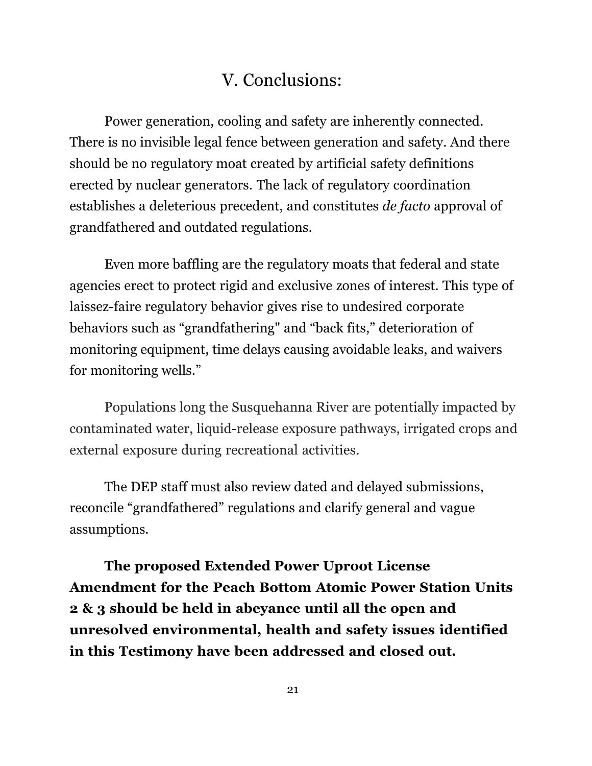### V. Conclusions:

Power generation, cooling and safety are inherently connected. There is no invisible legal fence between generation and safety. And there should be no regulatory moat created by artificial safety definitions erected by nuclear generators. The lack of regulatory coordination establishes a deleterious precedent, and constitutes *de facto* approval of grandfathered and outdated regulations.

Even more baffling are the regulatory moats that federal and state agencies erect to protect rigid and exclusive zones of interest. This type of laissez-faire regulatory behavior gives rise to undesired corporate behaviors such as "grandfathering" and "back fits," deterioration of monitoring equipment, time delays causing avoidable leaks, and waivers for monitoring wells."

Populations long the Susquehanna River are potentially impacted by contaminated water, liquid-release exposure pathways, irrigated crops and external exposure during recreational activities.

The DEP staff must also review dated and delayed submissions, reconcile "grandfathered" regulations and clarify general and vague assumptions.

**The proposed Extended Power Uproot License Amendment for the Peach Bottom Atomic Power Station Units 2 & 3 should be held in abeyance until all the open and unresolved environmental, health and safety issues identified in this Testimony have been addressed and closed out.**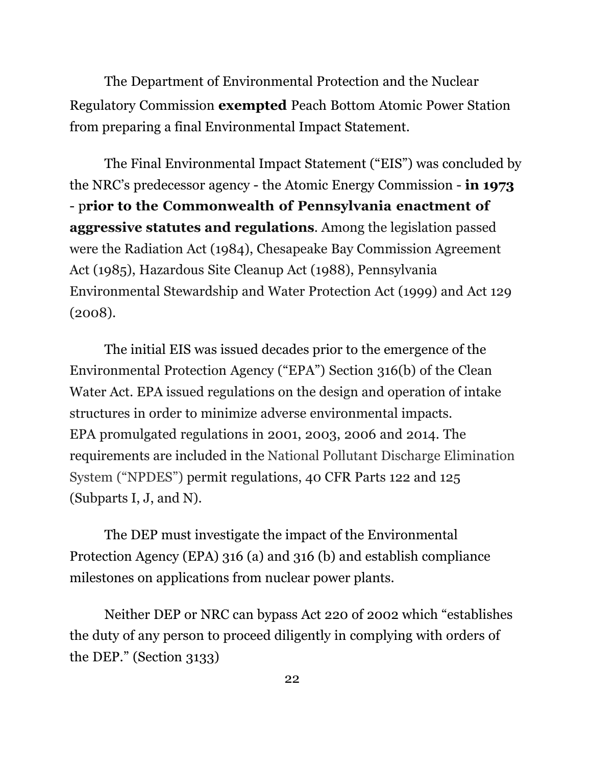The Department of Environmental Protection and the Nuclear Regulatory Commission **exempted** Peach Bottom Atomic Power Station from preparing a final Environmental Impact Statement.

The Final Environmental Impact Statement ("EIS") was concluded by the NRC's predecessor agency - the Atomic Energy Commission - **in 1973**  - p**rior to the Commonwealth of Pennsylvania enactment of aggressive statutes and regulations**. Among the legislation passed were the Radiation Act (1984), Chesapeake Bay Commission Agreement Act (1985), Hazardous Site Cleanup Act (1988), Pennsylvania Environmental Stewardship and Water Protection Act (1999) and Act 129 (2008).

The initial EIS was issued decades prior to the emergence of the Environmental Protection Agency ("EPA") Section 316(b) of the Clean Water Act. EPA issued regulations on the design and operation of intake structures in order to minimize adverse environmental impacts. EPA promulgated regulations in 2001, 2003, 2006 and 2014. The requirements are included in the National Pollutant Discharge Elimination System ("NPDES") permit regulations, 40 CFR Parts 122 and 125 (Subparts I, J, and N).

The DEP must investigate the impact of the Environmental Protection Agency (EPA) 316 (a) and 316 (b) and establish compliance milestones on applications from nuclear power plants.

Neither DEP or NRC can bypass Act 220 of 2002 which "establishes the duty of any person to proceed diligently in complying with orders of the DEP." (Section 3133)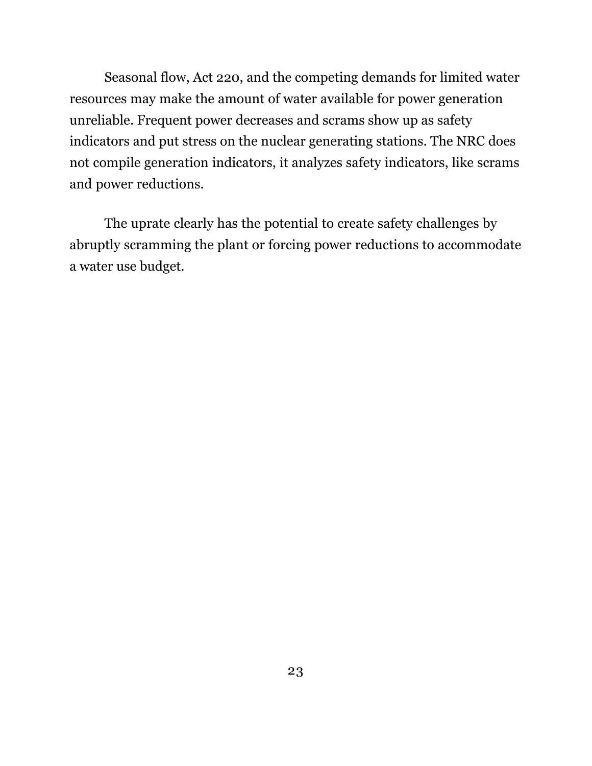Seasonal flow, Act 220, and the competing demands for limited water resources may make the amount of water available for power generation unreliable. Frequent power decreases and scrams show up as safety indicators and put stress on the nuclear generating stations. The NRC does not compile generation indicators, it analyzes safety indicators, like scrams and power reductions.

The uprate clearly has the potential to create safety challenges by abruptly scramming the plant or forcing power reductions to accommodate a water use budget.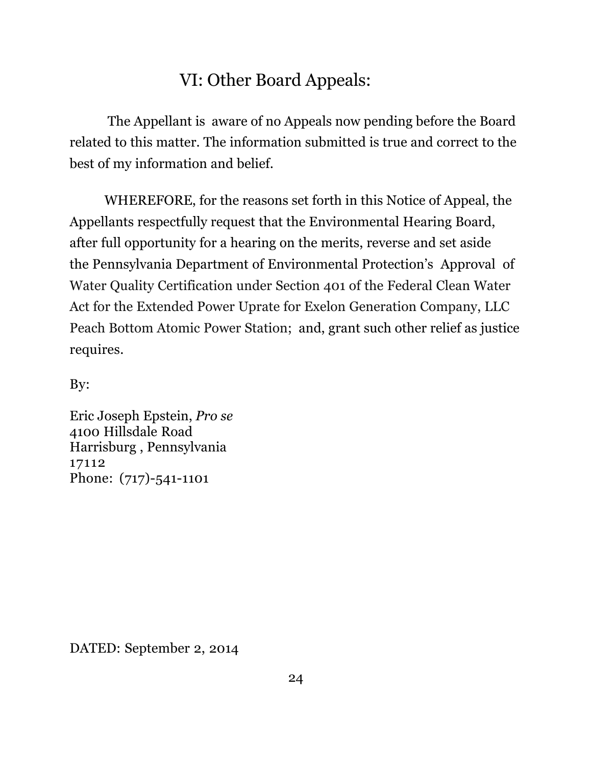# VI: Other Board Appeals:

The Appellant is aware of no Appeals now pending before the Board related to this matter. The information submitted is true and correct to the best of my information and belief.

WHEREFORE, for the reasons set forth in this Notice of Appeal, the Appellants respectfully request that the Environmental Hearing Board, after full opportunity for a hearing on the merits, reverse and set aside the Pennsylvania Department of Environmental Protection's Approval of Water Quality Certification under Section 401 of the Federal Clean Water Act for the Extended Power Uprate for Exelon Generation Company, LLC Peach Bottom Atomic Power Station; and, grant such other relief as justice requires.

By:

Eric Joseph Epstein, *Pro se* 4100 Hillsdale Road Harrisburg , Pennsylvania 17112 Phone: (717)-541-1101

DATED: September 2, 2014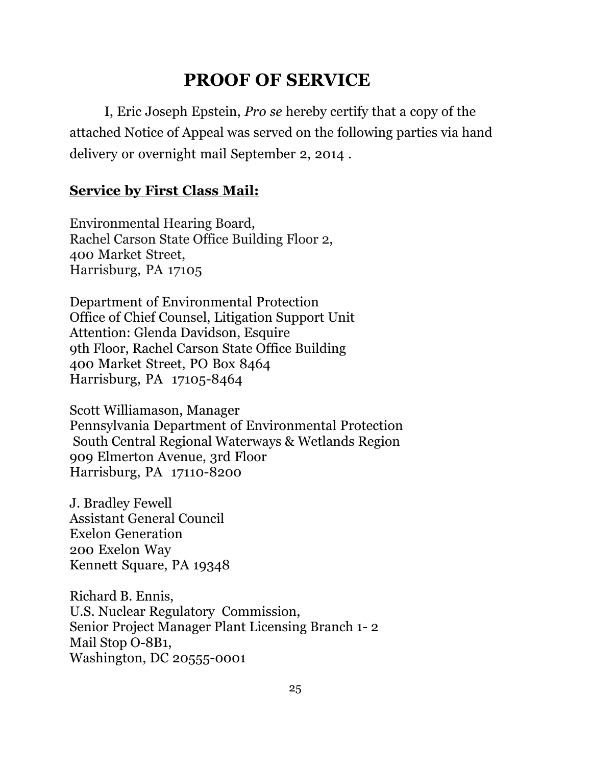# **PROOF OF SERVICE**

I, Eric Joseph Epstein, *Pro se* hereby certify that a copy of the attached Notice of Appeal was served on the following parties via hand delivery or overnight mail September 2, 2014 .

#### **Service by First Class Mail:**

Environmental Hearing Board, Rachel Carson State Office Building Floor 2, 400 Market Street, Harrisburg, PA 17105

Department of Environmental Protection Office of Chief Counsel, Litigation Support Unit Attention: Glenda Davidson, Esquire 9th Floor, Rachel Carson State Office Building 400 Market Street, PO Box 8464 Harrisburg, PA 17105-8464

Scott Williamason, Manager Pennsylvania Department of Environmental Protection South Central Regional Waterways & Wetlands Region 909 Elmerton Avenue, 3rd Floor Harrisburg, PA 17110-8200

J. Bradley Fewell Assistant General Council Exelon Generation 200 Exelon Way Kennett Square, PA 19348

Richard B. Ennis, U.S. Nuclear Regulatory Commission, Senior Project Manager Plant Licensing Branch 1- 2 Mail Stop O-8B1, Washington, DC 20555-0001